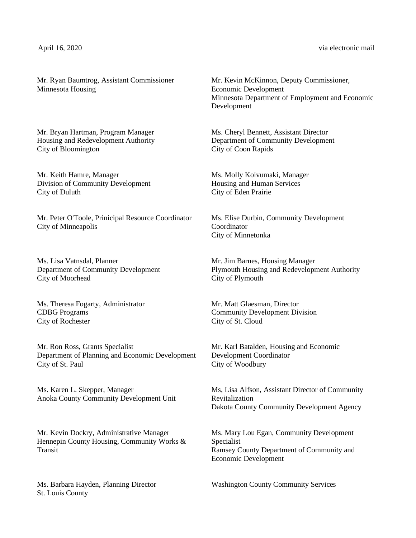April 16, 2020 via electronic mail

Mr. Ryan Baumtrog, Assistant Commissioner Minnesota Housing

Mr. Bryan Hartman, Program Manager Housing and Redevelopment Authority City of Bloomington

Mr. Keith Hamre, Manager Division of Community Development City of Duluth

Mr. Peter O'Toole, Prinicipal Resource Coordinator City of Minneapolis

Ms. Lisa Vatnsdal, Planner Department of Community Development City of Moorhead

Ms. Theresa Fogarty, Administrator CDBG Programs City of Rochester

Mr. Ron Ross, Grants Specialist Department of Planning and Economic Development City of St. Paul

Ms. Karen L. Skepper, Manager Anoka County Community Development Unit

Mr. Kevin Dockry, Administrative Manager Hennepin County Housing, Community Works & Transit

Ms. Barbara Hayden, Planning Director St. Louis County

Mr. Kevin McKinnon, Deputy Commissioner, Economic Development Minnesota Department of Employment and Economic Development

Ms. Cheryl Bennett, Assistant Director Department of Community Development City of Coon Rapids

Ms. Molly Koivumaki, Manager Housing and Human Services City of Eden Prairie

Ms. Elise Durbin, Community Development Coordinator City of Minnetonka

Mr. Jim Barnes, Housing Manager Plymouth Housing and Redevelopment Authority City of Plymouth

Mr. Matt Glaesman, Director Community Development Division City of St. Cloud

Mr. Karl Batalden, Housing and Economic Development Coordinator City of Woodbury

Ms, Lisa Alfson, Assistant Director of Community Revitalization Dakota County Community Development Agency

Ms. Mary Lou Egan, Community Development Specialist Ramsey County Department of Community and Economic Development

Washington County Community Services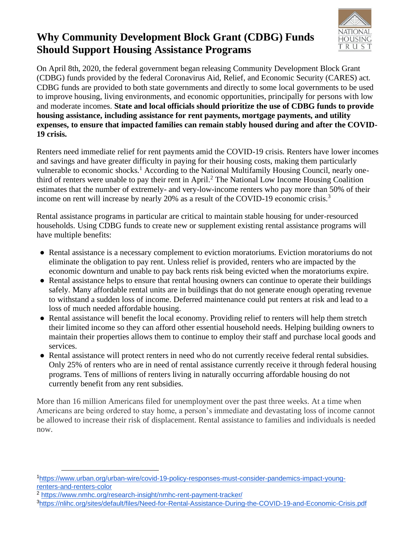## **Why Community Development Block Grant (CDBG) Funds Should Support Housing Assistance Programs**



On April 8th, 2020, the federal government began releasing Community Development Block Grant (CDBG) funds provided by the federal Coronavirus Aid, Relief, and Economic Security (CARES) act. CDBG funds are provided to both state governments and directly to some local governments to be used to improve housing, living environments, and economic opportunities, principally for persons with low and moderate incomes. **State and local officials should prioritize the use of CDBG funds to provide housing assistance, including assistance for rent payments, mortgage payments, and utility expenses, to ensure that impacted families can remain stably housed during and after the COVID-19 crisis.**

Renters need immediate relief for rent payments amid the COVID-19 crisis. Renters have lower incomes and savings and have greater difficulty in paying for their housing costs, making them particularly vulnerable to economic shocks.<sup>1</sup> According to the National Multifamily Housing Council, nearly onethird of renters were unable to pay their rent in April.<sup>2</sup> The National Low Income Housing Coalition estimates that the number of extremely- and very-low-income renters who pay more than 50% of their income on rent will increase by nearly 20% as a result of the COVID-19 economic crisis.<sup>3</sup>

Rental assistance programs in particular are critical to maintain stable housing for under-resourced households. Using CDBG funds to create new or supplement existing rental assistance programs will have multiple benefits:

- Rental assistance is a necessary complement to eviction moratoriums. Eviction moratoriums do not eliminate the obligation to pay rent. Unless relief is provided, renters who are impacted by the economic downturn and unable to pay back rents risk being evicted when the moratoriums expire.
- Rental assistance helps to ensure that rental housing owners can continue to operate their buildings safely. Many affordable rental units are in buildings that do not generate enough operating revenue to withstand a sudden loss of income. Deferred maintenance could put renters at risk and lead to a loss of much needed affordable housing.
- Rental assistance will benefit the local economy. Providing relief to renters will help them stretch their limited income so they can afford other essential household needs. Helping building owners to maintain their properties allows them to continue to employ their staff and purchase local goods and services.
- Rental assistance will protect renters in need who do not currently receive federal rental subsidies. Only 25% of renters who are in need of rental assistance currently receive it through federal housing programs. Tens of millions of renters living in naturally occurring affordable housing do not currently benefit from any rent subsidies.

More than 16 million Americans filed for unemployment over the past three weeks. At a time when Americans are being ordered to stay home, a person's immediate and devastating loss of income cannot be allowed to increase their risk of displacement. Rental assistance to families and individuals is needed now.

<sup>1</sup>[https://www.urban.org/urban-wire/covid-19-policy-responses-must-consider-pandemics-impact-young](https://www.urban.org/urban-wire/covid-19-policy-responses-must-consider-pandemics-impact-young-renters-and-renters-color)[renters-and-renters-color](https://www.urban.org/urban-wire/covid-19-policy-responses-must-consider-pandemics-impact-young-renters-and-renters-color)

<sup>2</sup> <https://www.nmhc.org/research-insight/nmhc-rent-payment-tracker/>

<sup>3</sup><https://nlihc.org/sites/default/files/Need-for-Rental-Assistance-During-the-COVID-19-and-Economic-Crisis.pdf>